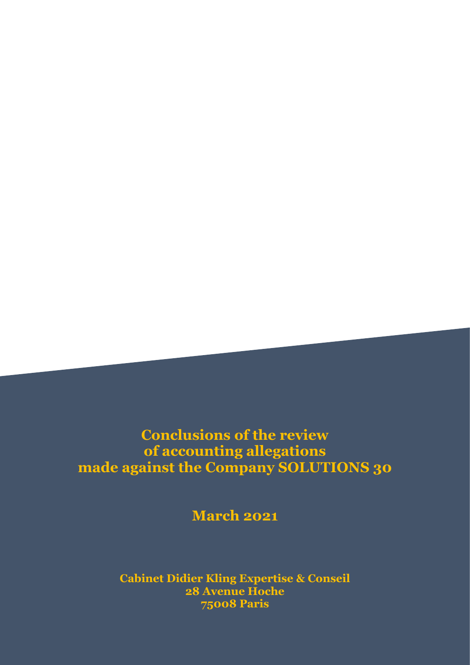# **Conclusions of the review of accounting allegations made against the Company SOLUTIONS 30**

**March 2021**

**Cabinet Didier Kling Expertise & Conseil 28 Avenue Hoche 75008 Paris**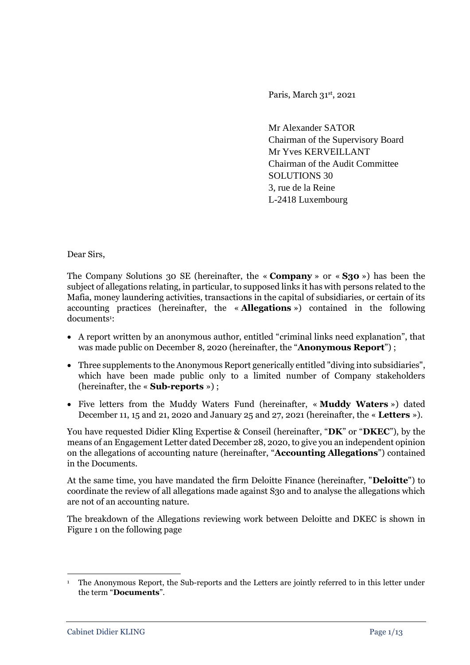Paris, March 31st, 2021

Mr Alexander SATOR Chairman of the Supervisory Board Mr Yves KERVEILLANT Chairman of the Audit Committee SOLUTIONS 30 3, rue de la Reine L-2418 Luxembourg

Dear Sirs,

The Company Solutions 30 SE (hereinafter, the « **Company** » or « **S30** ») has been the subject of allegations relating, in particular, to supposed links it has with persons related to the Mafia, money laundering activities, transactions in the capital of subsidiaries, or certain of its accounting practices (hereinafter, the « **Allegations** ») contained in the following documents<sup>1</sup>:

- A report written by an anonymous author, entitled "criminal links need explanation", that was made public on December 8, 2020 (hereinafter, the "**Anonymous Report**") ;
- Three supplements to the Anonymous Report generically entitled "diving into subsidiaries", which have been made public only to a limited number of Company stakeholders (hereinafter, the « **Sub-reports** ») ;
- Five letters from the Muddy Waters Fund (hereinafter, « **Muddy Waters** ») dated December 11, 15 and 21, 2020 and January 25 and 27, 2021 (hereinafter, the « **Letters** »).

You have requested Didier Kling Expertise & Conseil (hereinafter, "**DK**" or "**DKEC**"), by the means of an Engagement Letter dated December 28, 2020, to give you an independent opinion on the allegations of accounting nature (hereinafter, "**Accounting Allegations**") contained in the Documents.

At the same time, you have mandated the firm Deloitte Finance (hereinafter, "**Deloitte**") to coordinate the review of all allegations made against S30 and to analyse the allegations which are not of an accounting nature.

The breakdown of the Allegations reviewing work between Deloitte and DKEC is shown in Figure 1 on the following page

**.** 

<sup>1</sup> The Anonymous Report, the Sub-reports and the Letters are jointly referred to in this letter under the term "**Documents**".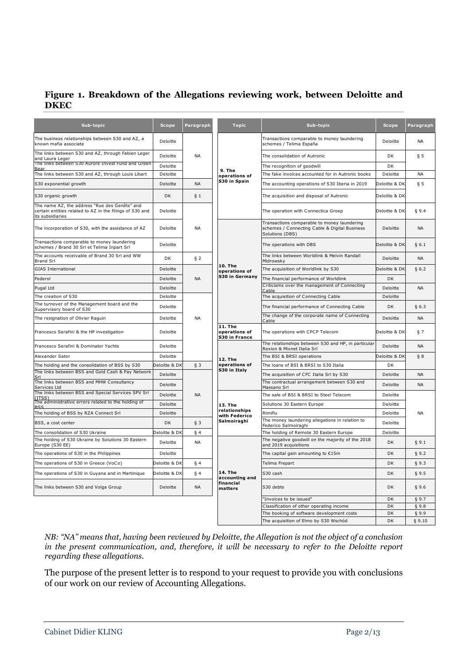## **Figure 1. Breakdown of the Allegations reviewing work, between Deloitte and DKEC**

| Sub-topic                                                                                                                     | <b>Scope</b>  | Paragraph              | <b>Topic</b>                                             | Sub-topic                                                                                                       | <b>Scope</b>  | Paragraph |
|-------------------------------------------------------------------------------------------------------------------------------|---------------|------------------------|----------------------------------------------------------|-----------------------------------------------------------------------------------------------------------------|---------------|-----------|
| The business relationships between S30 and AZ, a<br>known mafia associate                                                     | Deloitte      | <b>NA</b>              | 9. The<br>operations of<br>S30 in Spain                  | Transactions comparable to money laundering<br>schemes / Telima España                                          | Deloitte      | <b>NA</b> |
| The links between S30 and AZ, through Fabien Leger<br>and Laura Leger                                                         | Deloitte      |                        |                                                          | The consolidation of Autronic                                                                                   | DK            | § 5       |
| The links between S30 Aurore Invest Fund and Green<br>Bea                                                                     | Deloitte      |                        |                                                          | The recognition of goodwill                                                                                     | DK            |           |
| The links between S30 and AZ, through Louis Libart                                                                            | Deloitte      |                        |                                                          | The fake invoices accounted for in Autronic books                                                               | Deloitte      | <b>NA</b> |
| S30 exponential growth                                                                                                        | Deloitte      | <b>NA</b>              |                                                          | The accounting operations of S30 Iberia in 2019                                                                 | Deloitte & DK | ξ5        |
| S30 organic growth                                                                                                            | DK            | § 1                    |                                                          | The acquisition and disposal of Autronic                                                                        | Deloitte & Dk |           |
| The name AZ, the address "Rue des Genêts" and<br>certain entities related to AZ in the filings of S30 and<br>its subsidiaries | Deloitte      |                        |                                                          | The operation with Connectica Groep                                                                             | Deloitte & DK | \$9.4     |
| The incorporation of S30, with the assistance of AZ                                                                           | Deloitte      | <b>NA</b>              | $10.$ The<br>operations of<br>S30 in Germany             | Transactions comparable to money laundering<br>schemes / Connecting Cable & Digital Business<br>Solutions (DBS) | Deloitte      | <b>NA</b> |
| Transactions comparable to money laundering<br>schemes / Brand 30 Srl et Telima Inpart Srl                                    | Deloitte      |                        |                                                          | The operations with DBS                                                                                         | Deloitte & DK | \$6.1     |
| The accounts receivable of Brand 30 Srl and WW<br><b>Brand Srl</b>                                                            | DK            | § 2                    |                                                          | The links between Worldlink & Melvin Randall<br>Midrowsky                                                       | Deloitte      | <b>NA</b> |
| <b>GIAS International</b>                                                                                                     | Deloitte      | <b>NA</b><br><b>NA</b> |                                                          | The acquisition of Worldlink by S30                                                                             | Deloitte & DK | \$6.2     |
| Federol                                                                                                                       | Deloitte      |                        |                                                          | The financial performance of Worldlink                                                                          | DK            |           |
| Pugal Ltd                                                                                                                     | Deloitte      |                        |                                                          | Criticisms over the management of Connecting<br>Cable                                                           | Deloitte      | <b>NA</b> |
| The creation of S30                                                                                                           | Deloitte      |                        |                                                          | The acquisition of Connecting Cable                                                                             | Deloitte      |           |
| The turnover of the Management board and the<br>Supervisory board of S30                                                      | Deloitte      |                        |                                                          | The financial performance of Connecting Cable                                                                   | DK            | § 6.3     |
| The resignation of Olivier Raguin                                                                                             | Deloitte      |                        |                                                          | The change of the corporate name of Connecting<br>Cable                                                         | Deloitte      | <b>NA</b> |
| Francesco Serafini & the HP investigation                                                                                     | Deloitte      |                        | <b>11. The</b><br>operations of<br>S30 in France         | The operations with CPCP Telecom                                                                                | Deloitte & DK | 57        |
| Francesco Serafini & Dominator Yachts                                                                                         | Deloitte      |                        | $12.$ The<br>operations of<br>S30 in Italy               | The relationships between S30 and HP, in particular<br>Rexion & Mixnet Italia Srl                               | Deloitte      | <b>NA</b> |
| Alexander Sator                                                                                                               | Deloitte      |                        |                                                          | The BSI & BRSI operations                                                                                       | Deloitte & DK | § 8       |
| The holding and the consolidation of BSS by S30                                                                               | Deloitte & DK | § 3                    |                                                          | The loans of BSI & BRSI to S30 Italia                                                                           | <b>DK</b>     |           |
| The links between BSS and Gold Cash & Pay Network<br>Srl                                                                      | Deloitte      | <b>NA</b>              |                                                          | The acquisition of CFC Italia Srl by S30                                                                        | Deloitte      | <b>NA</b> |
| The links between BSS and MHW Consultancy<br>Services Ltd                                                                     | Deloitte      |                        |                                                          | The contractual arrangement between S30 and<br>Massano Srl                                                      | Deloitte      | <b>NA</b> |
| The links between BSS and Special Services SPV Srl<br>TTS:                                                                    | Deloitte      |                        | 13. The<br>relationships<br>with Federico<br>Salmoiraghi | The sale of BSI & BRSI to Steel Telecom                                                                         | Deloitte      | <b>NA</b> |
| The administrative errors related to the holding of<br><b>BSS</b>                                                             | Deloitte      |                        |                                                          | Solutions 30 Eastern Europe                                                                                     | Deloitte      |           |
| The holding of BSS by RZA Connect Srl                                                                                         | Deloitte      |                        |                                                          | Rimiflu                                                                                                         | Deloitte      |           |
| BSS, a cost center                                                                                                            | DK            | § 3                    |                                                          | The money laundering allegations in relation to<br>Federico Salmoiraghi                                         | Deloitte      |           |
| The consolidation of S30 Ukraine                                                                                              | Deloitte & DK | § 4                    |                                                          | The holding of Remote 30 Eastern Europe                                                                         | Deloitte      |           |
| The holding of S30 Ukraine by Solutions 30 Eastern<br>Europe (S30 EE)                                                         | Deloitte      | <b>NA</b>              | 14. The<br>accounting and<br>financial<br>matters        | The negative goodwill on the majority of the 2018<br>and 2019 acquisitions                                      | <b>DK</b>     | § 9.1     |
| The operations of S30 in the Philippines                                                                                      | Deloitte      |                        |                                                          | The capital gain amounting to €15m                                                                              | DK            | § 9.2     |
| The operations of S30 in Greece (VoCo)                                                                                        | Deloitte & DK | § 4                    |                                                          | Telima Frepart                                                                                                  | DK            | § 9.3     |
| The operations of S30 in Guyana and in Martinique                                                                             | Deloitte & DK | § 4                    |                                                          | S30 cash                                                                                                        | DK            | § 9.5     |
| The links between S30 and Volga Group                                                                                         | Deloitte      | <b>NA</b>              |                                                          | S30 debts                                                                                                       | DK            | §9.6      |
|                                                                                                                               |               |                        |                                                          | "Invoices to be issued"                                                                                         | DK            | § 9.7     |
|                                                                                                                               |               |                        |                                                          | Classification of other operating income                                                                        | DK            | \$9.8     |
|                                                                                                                               |               |                        |                                                          | The booking of software development costs                                                                       | DK            | \$9.9     |
|                                                                                                                               |               |                        |                                                          | The acquisition of Elmo by S30 Wschód                                                                           | <b>DK</b>     | § 9.10    |

*NB: "NA" means that, having been reviewed by Deloitte, the Allegation is not the object of a conclusion in the present communication, and, therefore, it will be necessary to refer to the Deloitte report regarding these allegations.*

The purpose of the present letter is to respond to your request to provide you with conclusions of our work on our review of Accounting Allegations.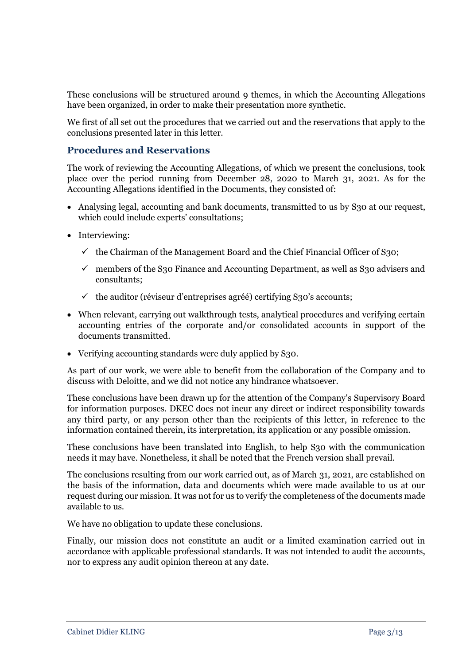These conclusions will be structured around 9 themes, in which the Accounting Allegations have been organized, in order to make their presentation more synthetic.

We first of all set out the procedures that we carried out and the reservations that apply to the conclusions presented later in this letter.

## **Procedures and Reservations**

The work of reviewing the Accounting Allegations, of which we present the conclusions, took place over the period running from December 28, 2020 to March 31, 2021. As for the Accounting Allegations identified in the Documents, they consisted of:

- Analysing legal, accounting and bank documents, transmitted to us by S30 at our request, which could include experts' consultations;
- Interviewing:
	- $\checkmark$  the Chairman of the Management Board and the Chief Financial Officer of S30;
	- $\checkmark$  members of the S<sub>30</sub> Finance and Accounting Department, as well as S<sub>30</sub> advisers and consultants;
	- $\checkmark$  the auditor (réviseur d'entreprises agréé) certifying S30's accounts;
- When relevant, carrying out walkthrough tests, analytical procedures and verifying certain accounting entries of the corporate and/or consolidated accounts in support of the documents transmitted.
- Verifying accounting standards were duly applied by S30.

As part of our work, we were able to benefit from the collaboration of the Company and to discuss with Deloitte, and we did not notice any hindrance whatsoever.

These conclusions have been drawn up for the attention of the Company's Supervisory Board for information purposes. DKEC does not incur any direct or indirect responsibility towards any third party, or any person other than the recipients of this letter, in reference to the information contained therein, its interpretation, its application or any possible omission.

These conclusions have been translated into English, to help S30 with the communication needs it may have. Nonetheless, it shall be noted that the French version shall prevail.

The conclusions resulting from our work carried out, as of March 31, 2021, are established on the basis of the information, data and documents which were made available to us at our request during our mission. It was not for us to verify the completeness of the documents made available to us.

We have no obligation to update these conclusions.

Finally, our mission does not constitute an audit or a limited examination carried out in accordance with applicable professional standards. It was not intended to audit the accounts, nor to express any audit opinion thereon at any date.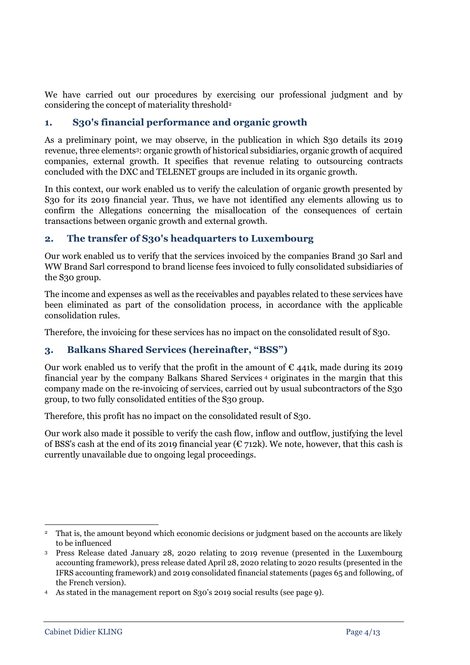We have carried out our procedures by exercising our professional judgment and by considering the concept of materiality threshold<sup>2</sup>

# **1. S30's financial performance and organic growth**

As a preliminary point, we may observe, in the publication in which S30 details its 2019 revenue, three elements<sup>3</sup>: organic growth of historical subsidiaries, organic growth of acquired companies, external growth. It specifies that revenue relating to outsourcing contracts concluded with the DXC and TELENET groups are included in its organic growth.

In this context, our work enabled us to verify the calculation of organic growth presented by S30 for its 2019 financial year. Thus, we have not identified any elements allowing us to confirm the Allegations concerning the misallocation of the consequences of certain transactions between organic growth and external growth.

# **2. The transfer of S30's headquarters to Luxembourg**

Our work enabled us to verify that the services invoiced by the companies Brand 30 Sarl and WW Brand Sarl correspond to brand license fees invoiced to fully consolidated subsidiaries of the S30 group.

The income and expenses as well as the receivables and payables related to these services have been eliminated as part of the consolidation process, in accordance with the applicable consolidation rules.

Therefore, the invoicing for these services has no impact on the consolidated result of S30.

# **3. Balkans Shared Services (hereinafter, "BSS")**

Our work enabled us to verify that the profit in the amount of  $\epsilon$  441k, made during its 2019 financial year by the company Balkans Shared Services <sup>4</sup> originates in the margin that this company made on the re-invoicing of services, carried out by usual subcontractors of the S30 group, to two fully consolidated entities of the S30 group.

Therefore, this profit has no impact on the consolidated result of S30.

Our work also made it possible to verify the cash flow, inflow and outflow, justifying the level of BSS's cash at the end of its 2019 financial year ( $\epsilon$  712k). We note, however, that this cash is currently unavailable due to ongoing legal proceedings.

<sup>-</sup><sup>2</sup> That is, the amount beyond which economic decisions or judgment based on the accounts are likely to be influenced

<sup>3</sup> Press Release dated January 28, 2020 relating to 2019 revenue (presented in the Luxembourg accounting framework), press release dated April 28, 2020 relating to 2020 results (presented in the IFRS accounting framework) and 2019 consolidated financial statements (pages 65 and following, of the French version).

<sup>4</sup> As stated in the management report on S30's 2019 social results (see page 9).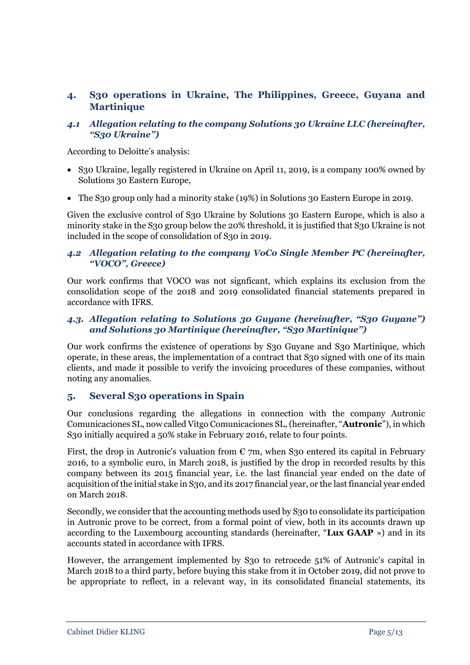# **4. S30 operations in Ukraine, The Philippines, Greece, Guyana and Martinique**

#### *4.1 Allegation relating to the company Solutions 30 Ukraine LLC (hereinafter, "S30 Ukraine")*

According to Deloitte's analysis:

- S30 Ukraine, legally registered in Ukraine on April 11, 2019, is a company 100% owned by Solutions 30 Eastern Europe,
- The S30 group only had a minority stake (19%) in Solutions 30 Eastern Europe in 2019.

Given the exclusive control of S30 Ukraine by Solutions 30 Eastern Europe, which is also a minority stake in the S30 group below the 20% threshold, it is justified that S30 Ukraine is not included in the scope of consolidation of S30 in 2019.

#### *4.2 Allegation relating to the company VoCo Single Member PC (hereinafter, "VOCO", Greece)*

Our work confirms that VOCO was not signficant, which explains its exclusion from the consolidation scope of the 2018 and 2019 consolidated financial statements prepared in accordance with IFRS.

#### *4.3. Allegation relating to Solutions 30 Guyane (hereinafter, "S30 Guyane") and Solutions 30 Martinique (hereinafter, "S30 Martinique")*

Our work confirms the existence of operations by S30 Guyane and S30 Martinique, which operate, in these areas, the implementation of a contract that S30 signed with one of its main clients, and made it possible to verify the invoicing procedures of these companies, without noting any anomalies.

## **5. Several S30 operations in Spain**

Our conclusions regarding the allegations in connection with the company Autronic Comunicaciones SL, now called Vitgo Comunicaciones SL, (hereinafter, "**Autronic**"), in which S30 initially acquired a 50% stake in February 2016, relate to four points.

First, the drop in Autronic's valuation from  $\epsilon$  7m, when S30 entered its capital in February 2016, to a symbolic euro, in March 2018, is justified by the drop in recorded results by this company between its 2015 financial year, i.e. the last financial year ended on the date of acquisition of the initial stake in S30, and its 2017 financial year, or the last financial year ended on March 2018.

Secondly, we consider that the accounting methods used by S30 to consolidate its participation in Autronic prove to be correct, from a formal point of view, both in its accounts drawn up according to the Luxembourg accounting standards (hereinafter, "**Lux GAAP** ») and in its accounts stated in accordance with IFRS.

However, the arrangement implemented by S30 to retrocede 51% of Autronic's capital in March 2018 to a third party, before buying this stake from it in October 2019, did not prove to be appropriate to reflect, in a relevant way, in its consolidated financial statements, its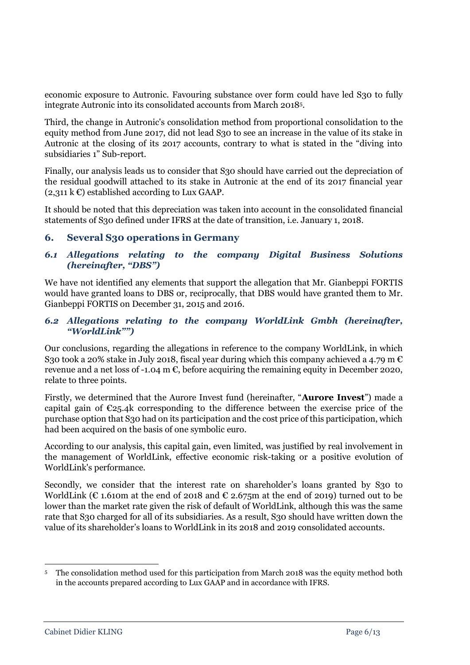economic exposure to Autronic. Favouring substance over form could have led S30 to fully integrate Autronic into its consolidated accounts from March 2018<sup>5</sup> .

Third, the change in Autronic's consolidation method from proportional consolidation to the equity method from June 2017, did not lead S30 to see an increase in the value of its stake in Autronic at the closing of its 2017 accounts, contrary to what is stated in the "diving into subsidiaries 1" Sub-report.

Finally, our analysis leads us to consider that S30 should have carried out the depreciation of the residual goodwill attached to its stake in Autronic at the end of its 2017 financial year  $(2,311 \text{ kC})$  established according to Lux GAAP.

It should be noted that this depreciation was taken into account in the consolidated financial statements of S30 defined under IFRS at the date of transition, i.e. January 1, 2018.

## **6. Several S30 operations in Germany**

## *6.1 Allegations relating to the company Digital Business Solutions (hereinafter, "DBS")*

We have not identified any elements that support the allegation that Mr. Gianbeppi FORTIS would have granted loans to DBS or, reciprocally, that DBS would have granted them to Mr. Gianbeppi FORTIS on December 31, 2015 and 2016.

#### *6.2 Allegations relating to the company WorldLink Gmbh (hereinafter, "WorldLink"")*

Our conclusions, regarding the allegations in reference to the company WorldLink, in which S30 took a 20% stake in July 2018, fiscal year during which this company achieved a 4.79 m  $\epsilon$ revenue and a net loss of -1.04 m  $\epsilon$ , before acquiring the remaining equity in December 2020, relate to three points.

Firstly, we determined that the Aurore Invest fund (hereinafter, "**Aurore Invest**") made a capital gain of  $\epsilon_{25.4k}$  corresponding to the difference between the exercise price of the purchase option that S30 had on its participation and the cost price of this participation, which had been acquired on the basis of one symbolic euro.

According to our analysis, this capital gain, even limited, was justified by real involvement in the management of WorldLink, effective economic risk-taking or a positive evolution of WorldLink's performance.

Secondly, we consider that the interest rate on shareholder's loans granted by S30 to WorldLink ( $\epsilon$  1.610m at the end of 2018 and  $\epsilon$  2.675m at the end of 2019) turned out to be lower than the market rate given the risk of default of WorldLink, although this was the same rate that S30 charged for all of its subsidiaries. As a result, S30 should have written down the value of its shareholder's loans to WorldLink in its 2018 and 2019 consolidated accounts.

<sup>-</sup><sup>5</sup> The consolidation method used for this participation from March 2018 was the equity method both in the accounts prepared according to Lux GAAP and in accordance with IFRS.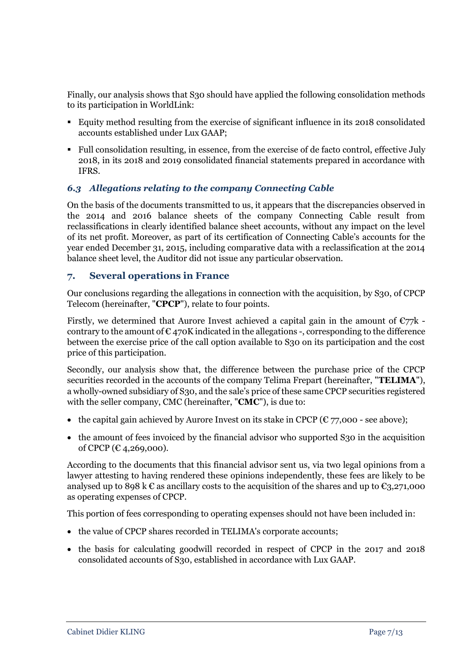Finally, our analysis shows that S30 should have applied the following consolidation methods to its participation in WorldLink:

- Equity method resulting from the exercise of significant influence in its 2018 consolidated accounts established under Lux GAAP;
- Full consolidation resulting, in essence, from the exercise of de facto control, effective July 2018, in its 2018 and 2019 consolidated financial statements prepared in accordance with IFRS.

## *6.3 Allegations relating to the company Connecting Cable*

On the basis of the documents transmitted to us, it appears that the discrepancies observed in the 2014 and 2016 balance sheets of the company Connecting Cable result from reclassifications in clearly identified balance sheet accounts, without any impact on the level of its net profit. Moreover, as part of its certification of Connecting Cable's accounts for the year ended December 31, 2015, including comparative data with a reclassification at the 2014 balance sheet level, the Auditor did not issue any particular observation.

#### **7. Several operations in France**

Our conclusions regarding the allegations in connection with the acquisition, by S30, of CPCP Telecom (hereinafter, "**CPCP**"), relate to four points.

Firstly, we determined that Aurore Invest achieved a capital gain in the amount of  $\epsilon$ 77k contrary to the amount of  $\epsilon$  470K indicated in the allegations -, corresponding to the difference between the exercise price of the call option available to S30 on its participation and the cost price of this participation.

Secondly, our analysis show that, the difference between the purchase price of the CPCP securities recorded in the accounts of the company Telima Frepart (hereinafter, "**TELIMA**"), a wholly-owned subsidiary of S30, and the sale's price of these same CPCP securities registered with the seller company, CMC (hereinafter, "**CMC**"), is due to:

- the capital gain achieved by Aurore Invest on its stake in CPCP ( $\epsilon$  77,000 see above);
- the amount of fees invoiced by the financial advisor who supported S30 in the acquisition of CPCP ( $C_{4,269,000}$ ).

According to the documents that this financial advisor sent us, via two legal opinions from a lawyer attesting to having rendered these opinions independently, these fees are likely to be analysed up to 898 k  $\epsilon$  as ancillary costs to the acquisition of the shares and up to  $\epsilon_{3,271,000}$ as operating expenses of CPCP.

This portion of fees corresponding to operating expenses should not have been included in:

- the value of CPCP shares recorded in TELIMA's corporate accounts;
- the basis for calculating goodwill recorded in respect of CPCP in the 2017 and 2018 consolidated accounts of S30, established in accordance with Lux GAAP.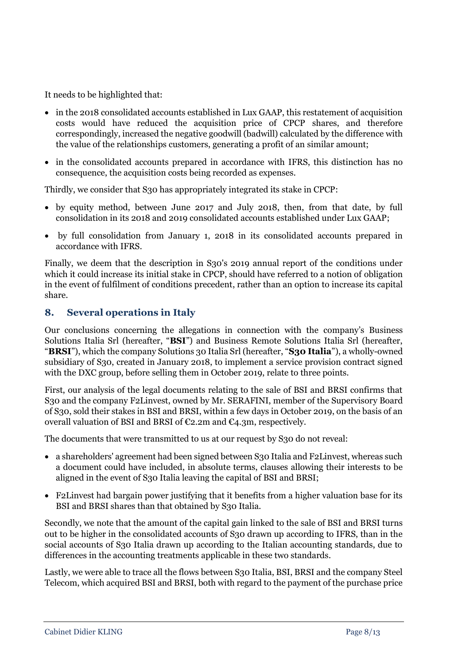It needs to be highlighted that:

- in the 2018 consolidated accounts established in Lux GAAP, this restatement of acquisition costs would have reduced the acquisition price of CPCP shares, and therefore correspondingly, increased the negative goodwill (badwill) calculated by the difference with the value of the relationships customers, generating a profit of an similar amount;
- in the consolidated accounts prepared in accordance with IFRS, this distinction has no consequence, the acquisition costs being recorded as expenses.

Thirdly, we consider that S30 has appropriately integrated its stake in CPCP:

- by equity method, between June 2017 and July 2018, then, from that date, by full consolidation in its 2018 and 2019 consolidated accounts established under Lux GAAP;
- by full consolidation from January 1, 2018 in its consolidated accounts prepared in accordance with IFRS.

Finally, we deem that the description in S30's 2019 annual report of the conditions under which it could increase its initial stake in CPCP, should have referred to a notion of obligation in the event of fulfilment of conditions precedent, rather than an option to increase its capital share.

# **8. Several operations in Italy**

Our conclusions concerning the allegations in connection with the company's Business Solutions Italia Srl (hereafter, "**BSI**") and Business Remote Solutions Italia Srl (hereafter, "**BRSI**"), which the company Solutions 30 Italia Srl (hereafter, "**S30 Italia**"), a wholly-owned subsidiary of S30, created in January 2018, to implement a service provision contract signed with the DXC group, before selling them in October 2019, relate to three points.

First, our analysis of the legal documents relating to the sale of BSI and BRSI confirms that S30 and the company F2Linvest, owned by Mr. SERAFINI, member of the Supervisory Board of S30, sold their stakes in BSI and BRSI, within a few days in October 2019, on the basis of an overall valuation of BSI and BRSI of €2.2m and €4.3m, respectively.

The documents that were transmitted to us at our request by S30 do not reveal:

- a shareholders' agreement had been signed between S30 Italia and F2Linvest, whereas such a document could have included, in absolute terms, clauses allowing their interests to be aligned in the event of S30 Italia leaving the capital of BSI and BRSI;
- F2Linvest had bargain power justifying that it benefits from a higher valuation base for its BSI and BRSI shares than that obtained by S30 Italia.

Secondly, we note that the amount of the capital gain linked to the sale of BSI and BRSI turns out to be higher in the consolidated accounts of S30 drawn up according to IFRS, than in the social accounts of S30 Italia drawn up according to the Italian accounting standards, due to differences in the accounting treatments applicable in these two standards.

Lastly, we were able to trace all the flows between S30 Italia, BSI, BRSI and the company Steel Telecom, which acquired BSI and BRSI, both with regard to the payment of the purchase price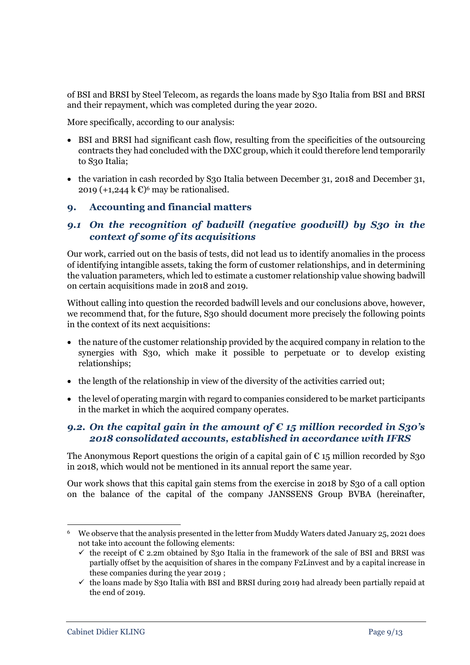of BSI and BRSI by Steel Telecom, as regards the loans made by S30 Italia from BSI and BRSI and their repayment, which was completed during the year 2020.

More specifically, according to our analysis:

- BSI and BRSI had significant cash flow, resulting from the specificities of the outsourcing contracts they had concluded with the DXC group, which it could therefore lend temporarily to S30 Italia;
- the variation in cash recorded by S30 Italia between December 31, 2018 and December 31, 2019  $(+1,244 \mathrm{k\mathbb{C}})^6$  may be rationalised.

#### **9. Accounting and financial matters**

# *9.1 On the recognition of badwill (negative goodwill) by S30 in the context of some of its acquisitions*

Our work, carried out on the basis of tests, did not lead us to identify anomalies in the process of identifying intangible assets, taking the form of customer relationships, and in determining the valuation parameters, which led to estimate a customer relationship value showing badwill on certain acquisitions made in 2018 and 2019.

Without calling into question the recorded badwill levels and our conclusions above, however, we recommend that, for the future, S30 should document more precisely the following points in the context of its next acquisitions:

- the nature of the customer relationship provided by the acquired company in relation to the synergies with S30, which make it possible to perpetuate or to develop existing relationships;
- the length of the relationship in view of the diversity of the activities carried out;
- the level of operating margin with regard to companies considered to be market participants in the market in which the acquired company operates.

## *9.2. On the capital gain in the amount of € 15 million recorded in S30's 2018 consolidated accounts, established in accordance with IFRS*

The Anonymous Report questions the origin of a capital gain of  $\epsilon$  15 million recorded by S30 in 2018, which would not be mentioned in its annual report the same year.

Our work shows that this capital gain stems from the exercise in 2018 by S30 of a call option on the balance of the capital of the company JANSSENS Group BVBA (hereinafter,

 $\overline{a}$ 

<sup>6</sup> We observe that the analysis presented in the letter from Muddy Waters dated January 25, 2021 does not take into account the following elements:

 $\checkmark$  the receipt of  $\epsilon$  2.2m obtained by S30 Italia in the framework of the sale of BSI and BRSI was partially offset by the acquisition of shares in the company F2Linvest and by a capital increase in these companies during the year 2019 ;

 $\checkmark$  the loans made by S30 Italia with BSI and BRSI during 2019 had already been partially repaid at the end of 2019.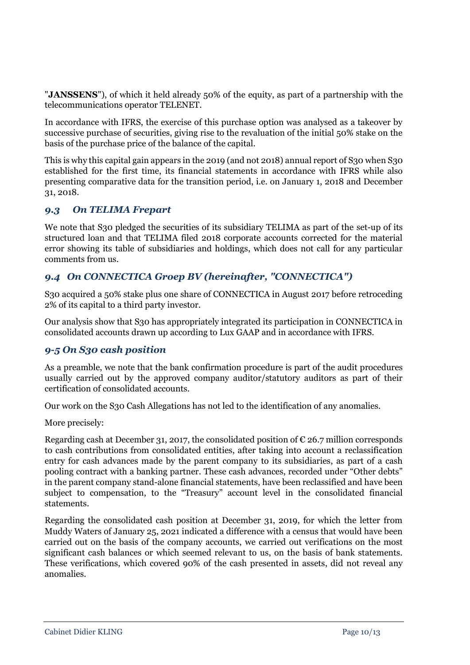"**JANSSENS**"), of which it held already 50% of the equity, as part of a partnership with the telecommunications operator TELENET.

In accordance with IFRS, the exercise of this purchase option was analysed as a takeover by successive purchase of securities, giving rise to the revaluation of the initial 50% stake on the basis of the purchase price of the balance of the capital.

This is why this capital gain appears in the 2019 (and not 2018) annual report of S30 when S30 established for the first time, its financial statements in accordance with IFRS while also presenting comparative data for the transition period, i.e. on January 1, 2018 and December 31, 2018.

## *9.3 On TELIMA Frepart*

We note that S30 pledged the securities of its subsidiary TELIMA as part of the set-up of its structured loan and that TELIMA filed 2018 corporate accounts corrected for the material error showing its table of subsidiaries and holdings, which does not call for any particular comments from us.

# *9.4 On CONNECTICA Groep BV (hereinafter, "CONNECTICA")*

S30 acquired a 50% stake plus one share of CONNECTICA in August 2017 before retroceding 2% of its capital to a third party investor.

Our analysis show that S30 has appropriately integrated its participation in CONNECTICA in consolidated accounts drawn up according to Lux GAAP and in accordance with IFRS.

## *9-5 On S30 cash position*

As a preamble, we note that the bank confirmation procedure is part of the audit procedures usually carried out by the approved company auditor/statutory auditors as part of their certification of consolidated accounts.

Our work on the S30 Cash Allegations has not led to the identification of any anomalies.

More precisely:

Regarding cash at December 31, 2017, the consolidated position of  $\epsilon$  26.7 million corresponds to cash contributions from consolidated entities, after taking into account a reclassification entry for cash advances made by the parent company to its subsidiaries, as part of a cash pooling contract with a banking partner. These cash advances, recorded under "Other debts" in the parent company stand-alone financial statements, have been reclassified and have been subject to compensation, to the "Treasury" account level in the consolidated financial statements.

Regarding the consolidated cash position at December 31, 2019, for which the letter from Muddy Waters of January 25, 2021 indicated a difference with a census that would have been carried out on the basis of the company accounts, we carried out verifications on the most significant cash balances or which seemed relevant to us, on the basis of bank statements. These verifications, which covered 90% of the cash presented in assets, did not reveal any anomalies.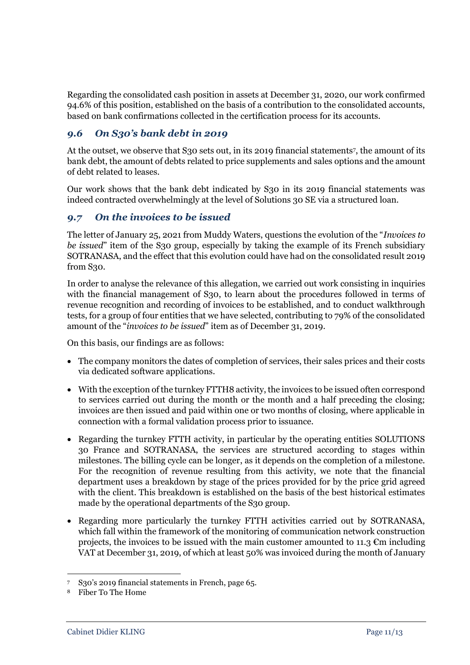Regarding the consolidated cash position in assets at December 31, 2020, our work confirmed 94.6% of this position, established on the basis of a contribution to the consolidated accounts, based on bank confirmations collected in the certification process for its accounts.

# *9.6 On S30's bank debt in 2019*

At the outset, we observe that S30 sets out, in its 2019 financial statements<sup>7</sup> , the amount of its bank debt, the amount of debts related to price supplements and sales options and the amount of debt related to leases.

Our work shows that the bank debt indicated by S30 in its 2019 financial statements was indeed contracted overwhelmingly at the level of Solutions 30 SE via a structured loan.

# *9.7 On the invoices to be issued*

The letter of January 25, 2021 from Muddy Waters, questions the evolution of the "*Invoices to be issued*" item of the S30 group, especially by taking the example of its French subsidiary SOTRANASA, and the effect that this evolution could have had on the consolidated result 2019 from S30.

In order to analyse the relevance of this allegation, we carried out work consisting in inquiries with the financial management of S30, to learn about the procedures followed in terms of revenue recognition and recording of invoices to be established, and to conduct walkthrough tests, for a group of four entities that we have selected, contributing to 79% of the consolidated amount of the "*invoices to be issued*" item as of December 31, 2019.

On this basis, our findings are as follows:

- The company monitors the dates of completion of services, their sales prices and their costs via dedicated software applications.
- With the exception of the turnkey FTTH8 activity, the invoices to be issued often correspond to services carried out during the month or the month and a half preceding the closing; invoices are then issued and paid within one or two months of closing, where applicable in connection with a formal validation process prior to issuance.
- Regarding the turnkey FTTH activity, in particular by the operating entities SOLUTIONS 30 France and SOTRANASA, the services are structured according to stages within milestones. The billing cycle can be longer, as it depends on the completion of a milestone. For the recognition of revenue resulting from this activity, we note that the financial department uses a breakdown by stage of the prices provided for by the price grid agreed with the client. This breakdown is established on the basis of the best historical estimates made by the operational departments of the S30 group.
- Regarding more particularly the turnkey FTTH activities carried out by SOTRANASA, which fall within the framework of the monitoring of communication network construction projects, the invoices to be issued with the main customer amounted to 11.3  $\mathbb{C}$ m including VAT at December 31, 2019, of which at least 50% was invoiced during the month of January

**.** 

<sup>7</sup> S30's 2019 financial statements in French, page 65.

<sup>8</sup> Fiber To The Home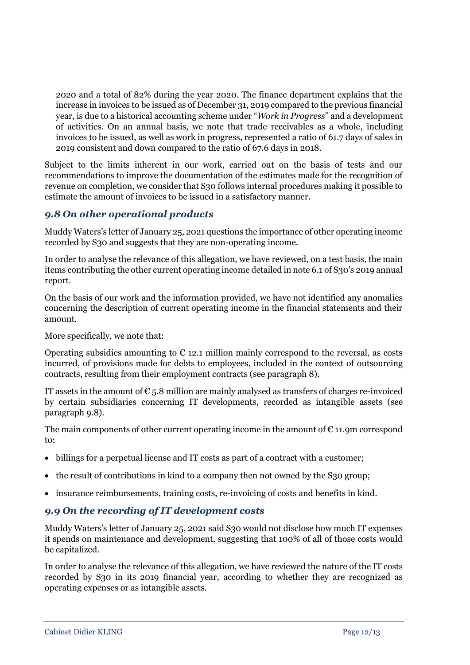2020 and a total of 82% during the year 2020. The finance department explains that the increase in invoices to be issued as of December 31, 2019 compared to the previous financial year, is due to a historical accounting scheme under "*Work in Progress*" and a development of activities. On an annual basis, we note that trade receivables as a whole, including invoices to be issued, as well as work in progress, represented a ratio of 61.7 days of sales in 2019 consistent and down compared to the ratio of 67.6 days in 2018.

Subject to the limits inherent in our work, carried out on the basis of tests and our recommendations to improve the documentation of the estimates made for the recognition of revenue on completion, we consider that S30 follows internal procedures making it possible to estimate the amount of invoices to be issued in a satisfactory manner.

# *9.8 On other operational products*

Muddy Waters's letter of January 25, 2021 questions the importance of other operating income recorded by S30 and suggests that they are non-operating income.

In order to analyse the relevance of this allegation, we have reviewed, on a test basis, the main items contributing the other current operating income detailed in note 6.1 of S30's 2019 annual report.

On the basis of our work and the information provided, we have not identified any anomalies concerning the description of current operating income in the financial statements and their amount.

More specifically, we note that:

Operating subsidies amounting to  $\epsilon$  12.1 million mainly correspond to the reversal, as costs incurred, of provisions made for debts to employees, included in the context of outsourcing contracts, resulting from their employment contracts (see paragraph 8).

IT assets in the amount of  $\epsilon$  5.8 million are mainly analysed as transfers of charges re-invoiced by certain subsidiaries concerning IT developments, recorded as intangible assets (see paragraph 9.8).

The main components of other current operating income in the amount of  $\epsilon$  11.9m correspond to:

- billings for a perpetual license and IT costs as part of a contract with a customer;
- the result of contributions in kind to a company then not owned by the S30 group;
- insurance reimbursements, training costs, re-invoicing of costs and benefits in kind.

## *9.9 On the recording of IT development costs*

Muddy Waters's letter of January 25, 2021 said S30 would not disclose how much IT expenses it spends on maintenance and development, suggesting that 100% of all of those costs would be capitalized.

In order to analyse the relevance of this allegation, we have reviewed the nature of the IT costs recorded by S30 in its 2019 financial year, according to whether they are recognized as operating expenses or as intangible assets.